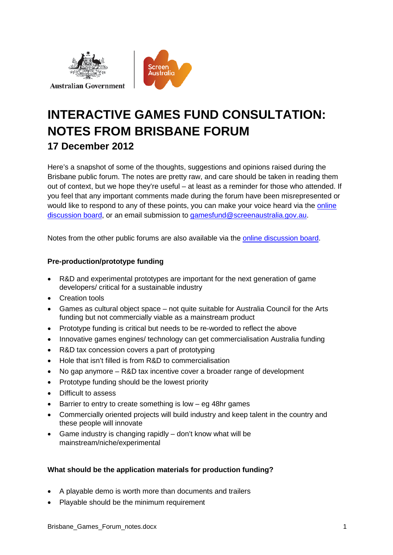



# **INTERACTIVE GAMES FUND CONSULTATION: NOTES FROM BRISBANE FORUM 17 December 2012**

Here's a snapshot of some of the thoughts, suggestions and opinions raised during the Brisbane public forum. The notes are pretty raw, and care should be taken in reading them out of context, but we hope they're useful – at least as a reminder for those who attended. If you feel that any important comments made during the forum have been misrepresented or would like to respond to any of these points, you can make your voice heard via the [online](http://www.screenaustralia.gov.au/gamesoptions/)  [discussion board,](http://www.screenaustralia.gov.au/gamesoptions/) or an email submission to [gamesfund@screenaustralia.gov.au.](mailto:gamesfund@screenaustralia.gov.au)

Notes from the other public forums are also available via the [online discussion board.](http://www.screenaustralia.gov.au/gamesoptions/)

## **Pre-production/prototype funding**

- R&D and experimental prototypes are important for the next generation of game developers/ critical for a sustainable industry
- Creation tools
- Games as cultural object space not quite suitable for Australia Council for the Arts funding but not commercially viable as a mainstream product
- Prototype funding is critical but needs to be re-worded to reflect the above
- Innovative games engines/ technology can get commercialisation Australia funding
- R&D tax concession covers a part of prototyping
- Hole that isn't filled is from R&D to commercialisation
- No gap anymore R&D tax incentive cover a broader range of development
- Prototype funding should be the lowest priority
- Difficult to assess
- Barrier to entry to create something is low  $-$  eg 48hr games
- Commercially oriented projects will build industry and keep talent in the country and these people will innovate
- Game industry is changing rapidly don't know what will be mainstream/niche/experimental

## **What should be the application materials for production funding?**

- A playable demo is worth more than documents and trailers
- Playable should be the minimum requirement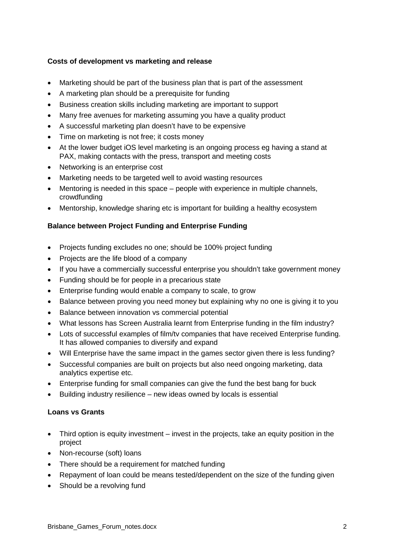#### **Costs of development vs marketing and release**

- Marketing should be part of the business plan that is part of the assessment
- A marketing plan should be a prerequisite for funding
- Business creation skills including marketing are important to support
- Many free avenues for marketing assuming you have a quality product
- A successful marketing plan doesn't have to be expensive
- Time on marketing is not free; it costs money
- At the lower budget iOS level marketing is an ongoing process eg having a stand at PAX, making contacts with the press, transport and meeting costs
- Networking is an enterprise cost
- Marketing needs to be targeted well to avoid wasting resources
- Mentoring is needed in this space people with experience in multiple channels, crowdfunding
- Mentorship, knowledge sharing etc is important for building a healthy ecosystem

#### **Balance between Project Funding and Enterprise Funding**

- Projects funding excludes no one; should be 100% project funding
- Projects are the life blood of a company
- If you have a commercially successful enterprise you shouldn't take government money
- Funding should be for people in a precarious state
- Enterprise funding would enable a company to scale, to grow
- Balance between proving you need money but explaining why no one is giving it to you
- Balance between innovation vs commercial potential
- What lessons has Screen Australia learnt from Enterprise funding in the film industry?
- Lots of successful examples of film/tv companies that have received Enterprise funding. It has allowed companies to diversify and expand
- Will Enterprise have the same impact in the games sector given there is less funding?
- Successful companies are built on projects but also need ongoing marketing, data analytics expertise etc.
- Enterprise funding for small companies can give the fund the best bang for buck
- Building industry resilience new ideas owned by locals is essential

#### **Loans vs Grants**

- Third option is equity investment invest in the projects, take an equity position in the project
- Non-recourse (soft) loans
- There should be a requirement for matched funding
- Repayment of loan could be means tested/dependent on the size of the funding given
- Should be a revolving fund